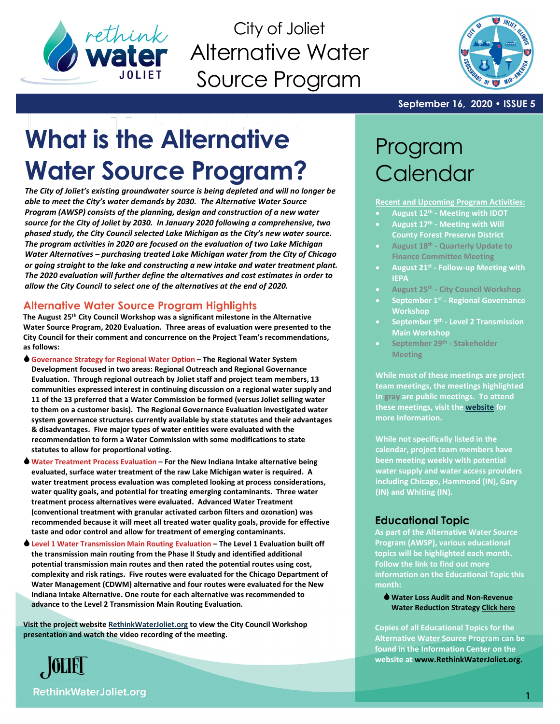

City of Joliet Alternative Water Source Program



**September 16, 2020 • ISSUE 5**

# **What is the Alternative Water Source Program?**

*The City of Joliet's existing groundwater source is being depleted and will no longer be able to meet the City's water demands by 2030. The Alternative Water Source Program (AWSP) consists of the planning, design and construction of a new water source for the City of Joliet by 2030. In January 2020 following a comprehensive, two phased study, the City Council selected Lake Michigan as the City's new water source. The program activities in 2020 are focused on the evaluation of two Lake Michigan Water Alternatives – purchasing treated Lake Michigan water from the City of Chicago or going straight to the lake and constructing a new intake and water treatment plant. The 2020 evaluation will further define the alternatives and cost estimates in order to allow the City Council to select one of the alternatives at the end of 2020.* 

### **Alternative Water Source Program Highlights**

**The August 25th City Council Workshop was a significant milestone in the Alternative Water Source Program, 2020 Evaluation. Three areas of evaluation were presented to the City Council for their comment and concurrence on the Project Team's recommendations, as follows:**

- **Governance Strategy for Regional Water Option – The Regional Water System Development focused in two areas: Regional Outreach and Regional Governance Evaluation. Through regional outreach by Joliet staff and project team members, 13 communities expressed interest in continuing discussion on a regional water supply and 11 of the 13 preferred that a Water Commission be formed (versus Joliet selling water to them on a customer basis). The Regional Governance Evaluation investigated water system governance structures currently available by state statutes and their advantages & disadvantages. Five major types of water entities were evaluated with the recommendation to form a Water Commission with some modifications to state statutes to allow for proportional voting.**
- **Water Treatment Process Evaluation – For the New Indiana Intake alternative being evaluated, surface water treatment of the raw Lake Michigan water is required. A water treatment process evaluation was completed looking at process considerations, water quality goals, and potential for treating emerging contaminants. Three water treatment process alternatives were evaluated. Advanced Water Treatment (conventional treatment with granular activated carbon filters and ozonation) was recommended because it will meet all treated water quality goals, provide for effective taste and odor control and allow for treatment of emerging contaminants.**
- **Level 1 Water Transmission Main Routing Evaluation – The Level 1 Evaluation built off the transmission main routing from the Phase II Study and identified additional potential transmission main routes and then rated the potential routes using cost, complexity and risk ratings. Five routes were evaluated for the Chicago Department of Water Management (CDWM) alternative and four routes were evaluated for the New Indiana Intake Alternative. One route for each alternative was recommended to advance to the Level 2 Transmission Main Routing Evaluation.**

**Visit the project websit[e RethinkWaterJoliet.org](http://www.reethinkwaterjoliet.org/) to view the City Council Workshop presentation and watch the video recording of the meeting.**



# Program **Calendar**

**Recent and Upcoming Program Activities:**

- **August 12th - Meeting with IDOT**
- **August 17th - Meeting with Will County Forest Preserve District**
- **August 18th - Quarterly Update to Finance Committee Meeting**
- **August 21st - Follow-up Meeting with IEPA**
- **August 25th - City Council Workshop**
- **September 1st - Regional Governance Workshop**
- **September 9th - Level 2 Transmission Main Workshop**
- **September 29th - Stakeholder Meeting**

**While most of these meetings are project team meetings, the meetings highlighted In gray are public meetings. To attend these meetings, visit the [website](http://www.joliet.gov/) for more Information.**

**While not specifically listed in the calendar, project team members have been meeting weekly with potential water supply and water access providers including Chicago, Hammond (IN), Gary (IN) and Whiting (IN).**

### **Educational Topic**

**As part of the Alternative Water Source Program (AWSP), various educational topics will be highlighted each month. Follow the link to find out more information on the Educational Topic this month:**

**Water Loss Audit and Non-Revenue Water Reduction Strategy [Click here](https://db3eaa5b-627b-4351-a0d6-a59bfce6a4d6.filesusr.com/ugd/3961f7_6c9d477369c045308b1c713daa506f98.pdf)**

**Copies of all Educational Topics for the Alternative Water Source Program can be found in the Information Center on the website a[t www.RethinkWaterJoliet.org.](http://www.rethinkwaterjoliet.org/)**